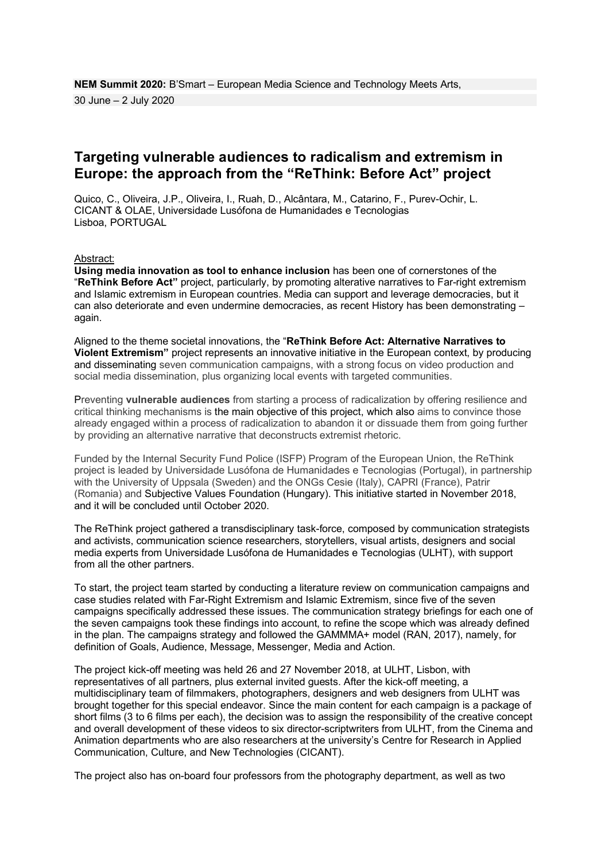## **Targeting vulnerable audiences to radicalism and extremism in Europe: the approach from the "ReThink: Before Act" project**

Quico, C., Oliveira, J.P., Oliveira, I., Ruah, D., Alcântara, M., Catarino, F., Purev-Ochir, L. CICANT & OLAE, Universidade Lusófona de Humanidades e Tecnologias Lisboa, PORTUGAL

Abstract:

**Using media innovation as tool to enhance inclusion** has been one of cornerstones of the "**ReThink Before Act"** project, particularly, by promoting alterative narratives to Far-right extremism and Islamic extremism in European countries. Media can support and leverage democracies, but it can also deteriorate and even undermine democracies, as recent History has been demonstrating – again.

Aligned to the theme societal innovations, the "**ReThink Before Act: Alternative Narratives to Violent Extremism"** project represents an innovative initiative in the European context, by producing and disseminating seven communication campaigns, with a strong focus on video production and social media dissemination, plus organizing local events with targeted communities.

Preventing **vulnerable audiences** from starting a process of radicalization by offering resilience and critical thinking mechanisms is the main objective of this project, which also aims to convince those already engaged within a process of radicalization to abandon it or dissuade them from going further by providing an alternative narrative that deconstructs extremist rhetoric.

Funded by the Internal Security Fund Police (ISFP) Program of the European Union, the ReThink project is leaded by Universidade Lusófona de Humanidades e Tecnologias (Portugal), in partnership with the University of Uppsala (Sweden) and the ONGs Cesie (Italy), CAPRI (France), Patrir (Romania) and Subjective Values Foundation (Hungary). This initiative started in November 2018, and it will be concluded until October 2020.

The ReThink project gathered a transdisciplinary task-force, composed by communication strategists and activists, communication science researchers, storytellers, visual artists, designers and social media experts from Universidade Lusófona de Humanidades e Tecnologias (ULHT), with support from all the other partners.

To start, the project team started by conducting a literature review on communication campaigns and case studies related with Far-Right Extremism and Islamic Extremism, since five of the seven campaigns specifically addressed these issues. The communication strategy briefings for each one of the seven campaigns took these findings into account, to refine the scope which was already defined in the plan. The campaigns strategy and followed the GAMMMA+ model (RAN, 2017), namely, for definition of Goals, Audience, Message, Messenger, Media and Action.

The project kick-off meeting was held 26 and 27 November 2018, at ULHT, Lisbon, with representatives of all partners, plus external invited guests. After the kick-off meeting, a multidisciplinary team of filmmakers, photographers, designers and web designers from ULHT was brought together for this special endeavor. Since the main content for each campaign is a package of short films (3 to 6 films per each), the decision was to assign the responsibility of the creative concept and overall development of these videos to six director-scriptwriters from ULHT, from the Cinema and Animation departments who are also researchers at the university's Centre for Research in Applied Communication, Culture, and New Technologies (CICANT).

The project also has on-board four professors from the photography department, as well as two